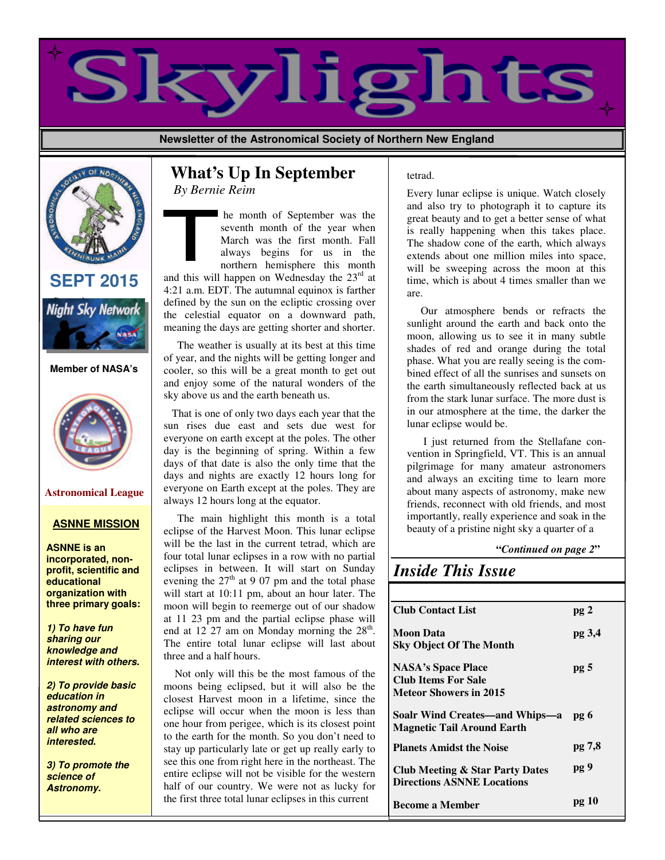

**Newsletter of the Astronomical Society of Northern New England**



## **SEPT 2015**



#### **Member of NASA's**



### **Astronomical League**

### **ASNNE MISSION**

**ASNNE is an incorporated, nonprofit, scientific and educational organization with three primary goals:**

**1) To have fun sharing our knowledge and interest with others.**

**2) To provide basic education in astronomy and related sciences to all who are interested.**

**3) To promote the science of Astronomy.**

## **What's Up In September**  *By Bernie Reim*

 he month of September was the seventh month of the year when March was the first month. Fall always begins for us in the northern hemisphere this month

and this will happen on Wednesday the  $23<sup>rd</sup>$  at 4:21 a.m. EDT. The autumnal equinox is farther defined by the sun on the ecliptic crossing over the celestial equator on a downward path, meaning the days are getting shorter and shorter.

 The weather is usually at its best at this time of year, and the nights will be getting longer and cooler, so this will be a great month to get out and enjoy some of the natural wonders of the sky above us and the earth beneath us.

 That is one of only two days each year that the sun rises due east and sets due west for everyone on earth except at the poles. The other day is the beginning of spring. Within a few days of that date is also the only time that the days and nights are exactly 12 hours long for everyone on Earth except at the poles. They are always 12 hours long at the equator.

 The main highlight this month is a total eclipse of the Harvest Moon. This lunar eclipse will be the last in the current tetrad, which are four total lunar eclipses in a row with no partial eclipses in between. It will start on Sunday evening the  $27<sup>th</sup>$  at 9 07 pm and the total phase will start at 10:11 pm, about an hour later. The moon will begin to reemerge out of our shadow at 11 23 pm and the partial eclipse phase will end at 12 27 am on Monday morning the  $28<sup>th</sup>$ . The entire total lunar eclipse will last about three and a half hours.

 Not only will this be the most famous of the moons being eclipsed, but it will also be the closest Harvest moon in a lifetime, since the eclipse will occur when the moon is less than one hour from perigee, which is its closest point to the earth for the month. So you don't need to stay up particularly late or get up really early to see this one from right here in the northeast. The entire eclipse will not be visible for the western half of our country. We were not as lucky for the first three total lunar eclipses in this current

#### tetrad.

Every lunar eclipse is unique. Watch closely and also try to photograph it to capture its great beauty and to get a better sense of what is really happening when this takes place. The shadow cone of the earth, which always extends about one million miles into space, will be sweeping across the moon at this time, which is about 4 times smaller than we are.

 Our atmosphere bends or refracts the sunlight around the earth and back onto the moon, allowing us to see it in many subtle shades of red and orange during the total phase. What you are really seeing is the combined effect of all the sunrises and sunsets on the earth simultaneously reflected back at us from the stark lunar surface. The more dust is in our atmosphere at the time, the darker the lunar eclipse would be.

 I just returned from the Stellafane convention in Springfield, VT. This is an annual pilgrimage for many amateur astronomers and always an exciting time to learn more about many aspects of astronomy, make new friends, reconnect with old friends, and most importantly, really experience and soak in the beauty of a pristine night sky a quarter of a

 **"***Continued on page 2***"**

# *Inside This Issue*

| <b>Club Contact List</b>                                                                 | pg <sub>2</sub> |
|------------------------------------------------------------------------------------------|-----------------|
| Moon Data<br><b>Sky Object Of The Month</b>                                              | pg 3,4          |
| <b>NASA's Space Place</b><br><b>Club Items For Sale</b><br><b>Meteor Showers in 2015</b> | pg <sub>5</sub> |
| Soalr Wind Creates—and Whips—a<br><b>Magnetic Tail Around Earth</b>                      | pg 6            |
| <b>Planets Amidst the Noise</b>                                                          | pg 7,8          |
| <b>Club Meeting &amp; Star Party Dates</b><br><b>Directions ASNNE Locations</b>          | pg 9            |
| <b>Become a Member</b>                                                                   | pg 10           |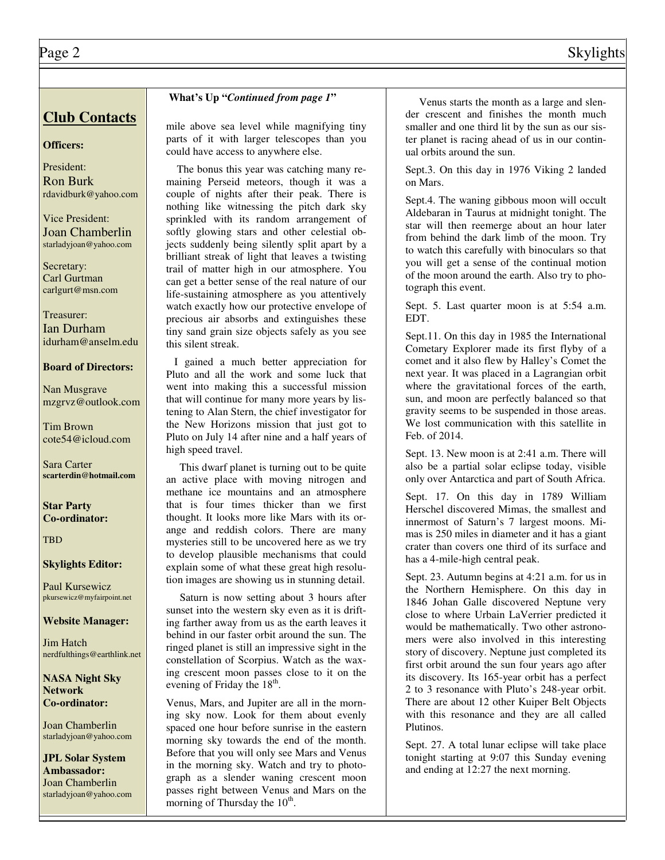## **Club Contacts**

## **Officers:**

President: Ron Burk rdavidburk@yahoo.com

Vice President: Joan Chamberlin starladyjoan@yahoo.com

Secretary: Carl Gurtman carlgurt@msn.com

Treasurer: Ian Durham idurham@anselm.edu

#### **Board of Directors:**

Nan Musgrave mzgrvz@outlook.com

Tim Brown cote54@icloud.com

Sara Carter **scarterdin@hotmail.com**

**Star Party Co-ordinator:**

**TBD** 

#### **Skylights Editor:**

Paul Kursewicz pkursewicz@myfairpoint.net

**Website Manager:**

Jim Hatch nerdfulthings@earthlink.net

**NASA Night Sky Network Co-ordinator:**

Joan Chamberlin starladyjoan@yahoo.com

**JPL Solar System Ambassador:**  Joan Chamberlin starladyjoan@yahoo.com

### **What's Up "***Continued from page 1***"**

mile above sea level while magnifying tiny parts of it with larger telescopes than you could have access to anywhere else.

 The bonus this year was catching many remaining Perseid meteors, though it was a couple of nights after their peak. There is nothing like witnessing the pitch dark sky sprinkled with its random arrangement of softly glowing stars and other celestial objects suddenly being silently split apart by a brilliant streak of light that leaves a twisting trail of matter high in our atmosphere. You can get a better sense of the real nature of our life-sustaining atmosphere as you attentively watch exactly how our protective envelope of precious air absorbs and extinguishes these tiny sand grain size objects safely as you see this silent streak.

 I gained a much better appreciation for Pluto and all the work and some luck that went into making this a successful mission that will continue for many more years by listening to Alan Stern, the chief investigator for the New Horizons mission that just got to Pluto on July 14 after nine and a half years of high speed travel.

 This dwarf planet is turning out to be quite an active place with moving nitrogen and methane ice mountains and an atmosphere that is four times thicker than we first thought. It looks more like Mars with its orange and reddish colors. There are many mysteries still to be uncovered here as we try to develop plausible mechanisms that could explain some of what these great high resolution images are showing us in stunning detail.

 Saturn is now setting about 3 hours after sunset into the western sky even as it is drifting farther away from us as the earth leaves it behind in our faster orbit around the sun. The ringed planet is still an impressive sight in the constellation of Scorpius. Watch as the waxing crescent moon passes close to it on the evening of Friday the 18<sup>th</sup>.

Venus, Mars, and Jupiter are all in the morning sky now. Look for them about evenly spaced one hour before sunrise in the eastern morning sky towards the end of the month. Before that you will only see Mars and Venus in the morning sky. Watch and try to photograph as a slender waning crescent moon passes right between Venus and Mars on the morning of Thursday the  $10^{th}$ .

 Venus starts the month as a large and slender crescent and finishes the month much smaller and one third lit by the sun as our sister planet is racing ahead of us in our continual orbits around the sun.

Sept.3. On this day in 1976 Viking 2 landed on Mars.

Sept.4. The waning gibbous moon will occult Aldebaran in Taurus at midnight tonight. The star will then reemerge about an hour later from behind the dark limb of the moon. Try to watch this carefully with binoculars so that you will get a sense of the continual motion of the moon around the earth. Also try to photograph this event.

Sept. 5. Last quarter moon is at 5:54 a.m. EDT.

Sept.11. On this day in 1985 the International Cometary Explorer made its first flyby of a comet and it also flew by Halley's Comet the next year. It was placed in a Lagrangian orbit where the gravitational forces of the earth, sun, and moon are perfectly balanced so that gravity seems to be suspended in those areas. We lost communication with this satellite in Feb. of 2014.

Sept. 13. New moon is at 2:41 a.m. There will also be a partial solar eclipse today, visible only over Antarctica and part of South Africa.

Sept. 17. On this day in 1789 William Herschel discovered Mimas, the smallest and innermost of Saturn's 7 largest moons. Mimas is 250 miles in diameter and it has a giant crater than covers one third of its surface and has a 4-mile-high central peak.

Sept. 23. Autumn begins at 4:21 a.m. for us in the Northern Hemisphere. On this day in 1846 Johan Galle discovered Neptune very close to where Urbain LaVerrier predicted it would be mathematically. Two other astronomers were also involved in this interesting story of discovery. Neptune just completed its first orbit around the sun four years ago after its discovery. Its 165-year orbit has a perfect 2 to 3 resonance with Pluto's 248-year orbit. There are about 12 other Kuiper Belt Objects with this resonance and they are all called Plutinos.

Sept. 27. A total lunar eclipse will take place tonight starting at 9:07 this Sunday evening and ending at 12:27 the next morning.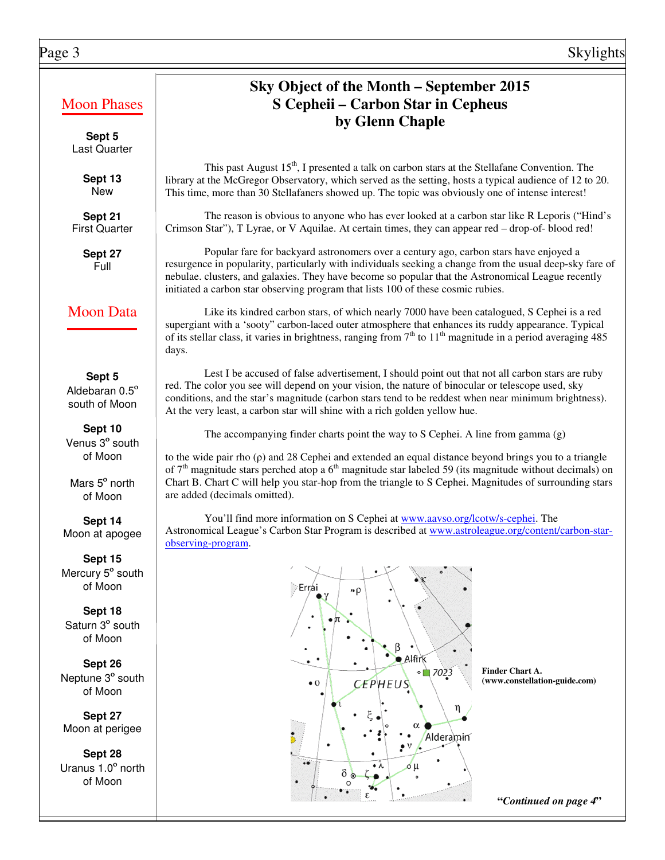## Moon Phases

**Sept 5**  Last Quarter

> **Sept 13**  New

**Sept 21**  First Quarter

> **Sept 27**  Full

## Moon Data

**Sept 5**  Aldebaran 0.5º south of Moon

**Sept 10** Venus 3º south of Moon

Mars 5º north of Moon

**Sept 14**  Moon at apogee

**Sept 15** Mercury 5° south of Moon

**Sept 18**  Saturn 3º south of Moon

**Sept 26**  Neptune 3º south of Moon

**Sept 27**  Moon at perigee

**Sept 28**  Uranus 1.0º north of Moon

# **Sky Object of the Month – September 2015 S Cepheii – Carbon Star in Cepheus by Glenn Chaple**

This past August 15<sup>th</sup>, I presented a talk on carbon stars at the Stellafane Convention. The library at the McGregor Observatory, which served as the setting, hosts a typical audience of 12 to 20. This time, more than 30 Stellafaners showed up. The topic was obviously one of intense interest!

 The reason is obvious to anyone who has ever looked at a carbon star like R Leporis ("Hind's Crimson Star"), T Lyrae, or V Aquilae. At certain times, they can appear red – drop-of- blood red!

 Popular fare for backyard astronomers over a century ago, carbon stars have enjoyed a resurgence in popularity, particularly with individuals seeking a change from the usual deep-sky fare of nebulae. clusters, and galaxies. They have become so popular that the Astronomical League recently initiated a carbon star observing program that lists 100 of these cosmic rubies.

 Like its kindred carbon stars, of which nearly 7000 have been catalogued, S Cephei is a red supergiant with a 'sooty" carbon-laced outer atmosphere that enhances its ruddy appearance. Typical of its stellar class, it varies in brightness, ranging from  $7<sup>th</sup>$  to  $11<sup>th</sup>$  magnitude in a period averaging 485 days.

 Lest I be accused of false advertisement, I should point out that not all carbon stars are ruby red. The color you see will depend on your vision, the nature of binocular or telescope used, sky conditions, and the star's magnitude (carbon stars tend to be reddest when near minimum brightness). At the very least, a carbon star will shine with a rich golden yellow hue.

The accompanying finder charts point the way to S Cephei. A line from gamma (g)

to the wide pair rho  $(\rho)$  and 28 Cephei and extended an equal distance beyond brings you to a triangle of  $7<sup>th</sup>$  magnitude stars perched atop a 6<sup>th</sup> magnitude star labeled 59 (its magnitude without decimals) on Chart B. Chart C will help you star-hop from the triangle to S Cephei. Magnitudes of surrounding stars are added (decimals omitted).

 You'll find more information on S Cephei at www.aavso.org/lcotw/s-cephei. The Astronomical League's Carbon Star Program is described at www.astroleague.org/content/carbon-starobserving-program.



**Finder Chart A. (www.constellation-guide.com)** 

 **"***Continued on page 4***"**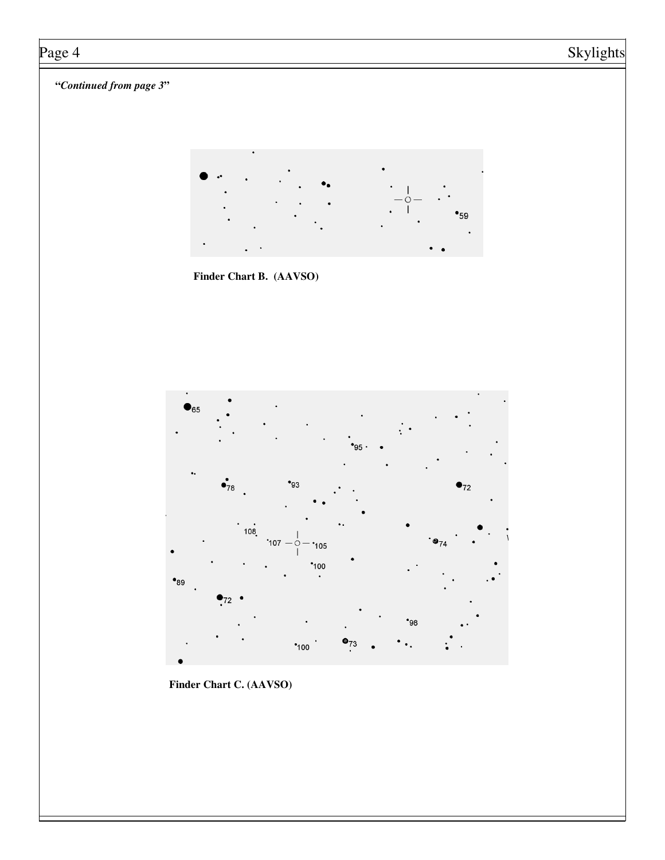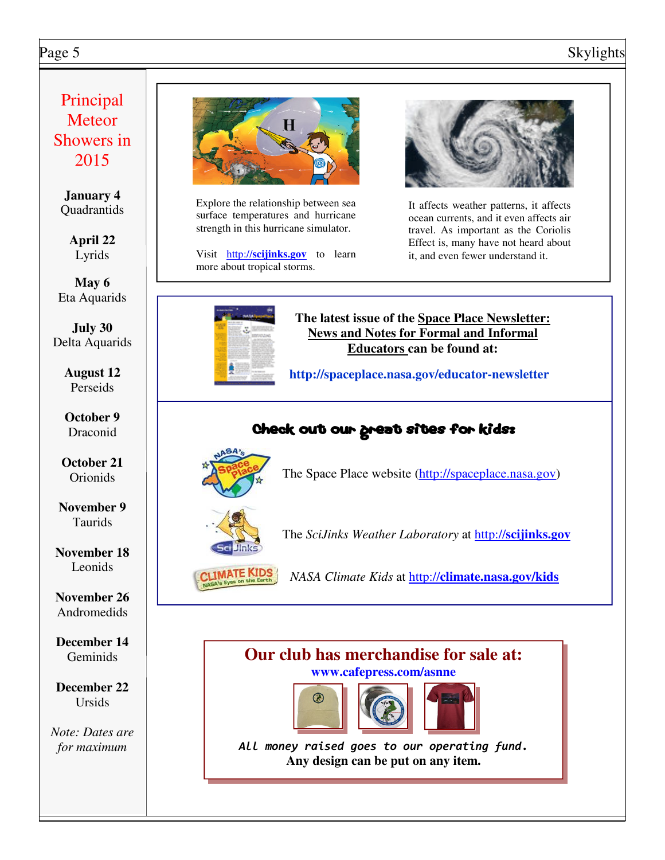# Page 5 Skylights

# Principal **Meteor** Showers in 2015

**January 4 Quadrantids** 

> **April 22** Lyrids

**May 6** Eta Aquarids

**July 30** Delta Aquarids

> **August 12** Perseids

**October 9** Draconid

**October 21** Orionids

**November 9** Taurids

**November 18** Leonids

**November 26** Andromedids

**December 14 Geminids** 

**December 22** Ursids

*Note: Dates are for maximum*



Explore the relationship between sea surface temperatures and hurricane strength in this hurricane simulator.

Visit http://scijinks.gov to learn it, and even fewer understand it. more about tropical storms.



It affects weather patterns, it affects ocean currents, and it even affects air travel. As important as the Coriolis Effect is, many have not heard about



**The latest issue of the Space Place Newsletter: News and Notes for Formal and Informal Educators can be found at:**

**http://spaceplace.nasa.gov/educator-newsletter** 

# Check out our great sites for kids:



The Space Place website (http://spaceplace.nasa.gov)



The *SciJinks Weather Laboratory* at http://**scijinks.gov**

*NASA Climate Kids* at http://**climate.nasa.gov/kids**

## **Our club has merchandise for sale at: www.cafepress.com/asnne**





All money raised goes to our operating fund. **Any design can be put on any item.**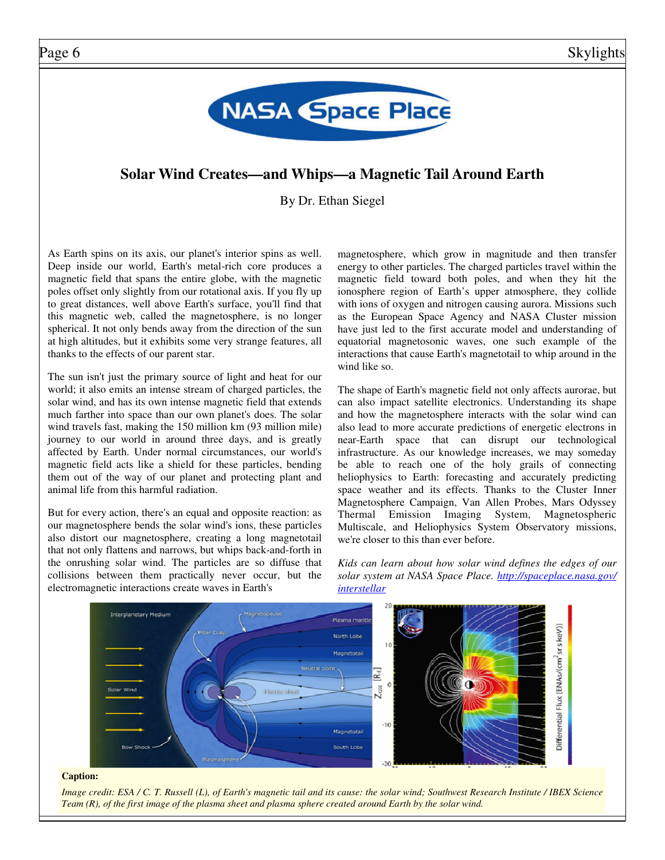

## **Solar Wind Creates—and Whips—a Magnetic Tail Around Earth**

By Dr. Ethan Siegel

As Earth spins on its axis, our planet's interior spins as well. Deep inside our world, Earth's metal-rich core produces a magnetic field that spans the entire globe, with the magnetic poles offset only slightly from our rotational axis. If you fly up to great distances, well above Earth's surface, you'll find that this magnetic web, called the magnetosphere, is no longer spherical. It not only bends away from the direction of the sun at high altitudes, but it exhibits some very strange features, all thanks to the effects of our parent star.

The sun isn't just the primary source of light and heat for our world; it also emits an intense stream of charged particles, the solar wind, and has its own intense magnetic field that extends much farther into space than our own planet's does. The solar wind travels fast, making the 150 million km (93 million mile) journey to our world in around three days, and is greatly affected by Earth. Under normal circumstances, our world's magnetic field acts like a shield for these particles, bending them out of the way of our planet and protecting plant and animal life from this harmful radiation.

But for every action, there's an equal and opposite reaction: as our magnetosphere bends the solar wind's ions, these particles also distort our magnetosphere, creating a long magnetotail that not only flattens and narrows, but whips back-and-forth in the onrushing solar wind. The particles are so diffuse that collisions between them practically never occur, but the electromagnetic interactions create waves in Earth's

magnetosphere, which grow in magnitude and then transfer energy to other particles. The charged particles travel within the magnetic field toward both poles, and when they hit the ionosphere region of Earth's upper atmosphere, they collide with ions of oxygen and nitrogen causing aurora. Missions such as the European Space Agency and NASA Cluster mission have just led to the first accurate model and understanding of equatorial magnetosonic waves, one such example of the interactions that cause Earth's magnetotail to whip around in the wind like so.

The shape of Earth's magnetic field not only affects aurorae, but can also impact satellite electronics. Understanding its shape and how the magnetosphere interacts with the solar wind can also lead to more accurate predictions of energetic electrons in near-Earth space that can disrupt our technological infrastructure. As our knowledge increases, we may someday be able to reach one of the holy grails of connecting heliophysics to Earth: forecasting and accurately predicting space weather and its effects. Thanks to the Cluster Inner Magnetosphere Campaign, Van Allen Probes, Mars Odyssey Thermal Emission Imaging System, Magnetospheric Multiscale, and Heliophysics System Observatory missions, we're closer to this than ever before.

*Kids can learn about how solar wind defines the edges of our solar system at NASA Space Place. http://spaceplace.nasa.gov/ interstellar*



#### **Caption:**

*Image credit: ESA / C. T. Russell (L), of Earth's magnetic tail and its cause: the solar wind; Southwest Research Institute / IBEX Science Team (R), of the first image of the plasma sheet and plasma sphere created around Earth by the solar wind.*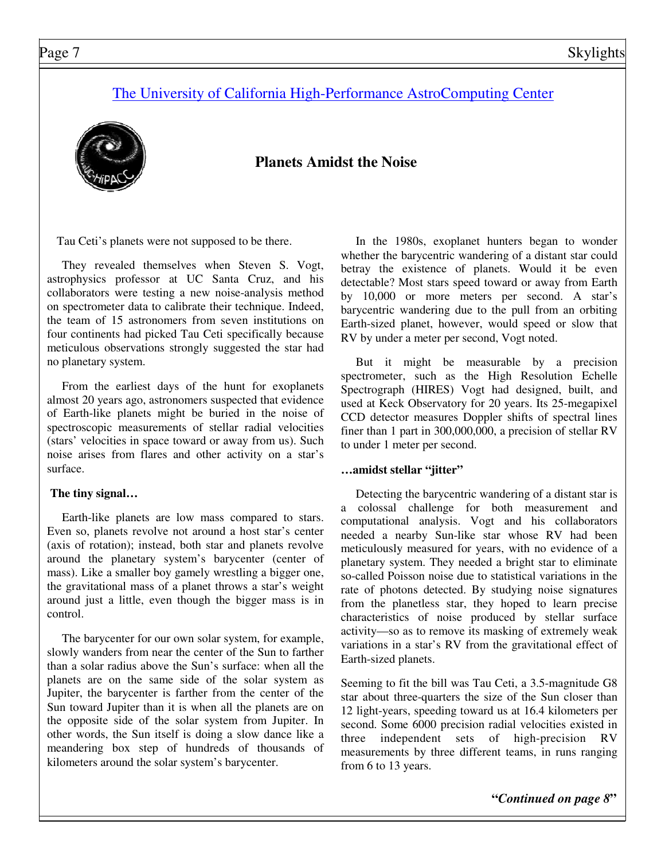## The University of California High-Performance AstroComputing Center



## **Planets Amidst the Noise**

Tau Ceti's planets were not supposed to be there.

 They revealed themselves when Steven S. Vogt, astrophysics professor at UC Santa Cruz, and his collaborators were testing a new noise-analysis method on spectrometer data to calibrate their technique. Indeed, the team of 15 astronomers from seven institutions on four continents had picked Tau Ceti specifically because meticulous observations strongly suggested the star had no planetary system.

 From the earliest days of the hunt for exoplanets almost 20 years ago, astronomers suspected that evidence of Earth-like planets might be buried in the noise of spectroscopic measurements of stellar radial velocities (stars' velocities in space toward or away from us). Such noise arises from flares and other activity on a star's surface.

## **The tiny signal…**

 Earth-like planets are low mass compared to stars. Even so, planets revolve not around a host star's center (axis of rotation); instead, both star and planets revolve around the planetary system's barycenter (center of mass). Like a smaller boy gamely wrestling a bigger one, the gravitational mass of a planet throws a star's weight around just a little, even though the bigger mass is in control.

 The barycenter for our own solar system, for example, slowly wanders from near the center of the Sun to farther than a solar radius above the Sun's surface: when all the planets are on the same side of the solar system as Jupiter, the barycenter is farther from the center of the Sun toward Jupiter than it is when all the planets are on the opposite side of the solar system from Jupiter. In other words, the Sun itself is doing a slow dance like a meandering box step of hundreds of thousands of kilometers around the solar system's barycenter.

 In the 1980s, exoplanet hunters began to wonder whether the barycentric wandering of a distant star could betray the existence of planets. Would it be even detectable? Most stars speed toward or away from Earth by 10,000 or more meters per second. A star's barycentric wandering due to the pull from an orbiting Earth-sized planet, however, would speed or slow that RV by under a meter per second, Vogt noted.

 But it might be measurable by a precision spectrometer, such as the High Resolution Echelle Spectrograph (HIRES) Vogt had designed, built, and used at Keck Observatory for 20 years. Its 25-megapixel CCD detector measures Doppler shifts of spectral lines finer than 1 part in 300,000,000, a precision of stellar RV to under 1 meter per second.

## **…amidst stellar "jitter"**

 Detecting the barycentric wandering of a distant star is a colossal challenge for both measurement and computational analysis. Vogt and his collaborators needed a nearby Sun-like star whose RV had been meticulously measured for years, with no evidence of a planetary system. They needed a bright star to eliminate so-called Poisson noise due to statistical variations in the rate of photons detected. By studying noise signatures from the planetless star, they hoped to learn precise characteristics of noise produced by stellar surface activity—so as to remove its masking of extremely weak variations in a star's RV from the gravitational effect of Earth-sized planets.

Seeming to fit the bill was Tau Ceti, a 3.5-magnitude G8 star about three-quarters the size of the Sun closer than 12 light-years, speeding toward us at 16.4 kilometers per second. Some 6000 precision radial velocities existed in three independent sets of high-precision RV measurements by three different teams, in runs ranging from 6 to 13 years.

**"***Continued on page 8***"**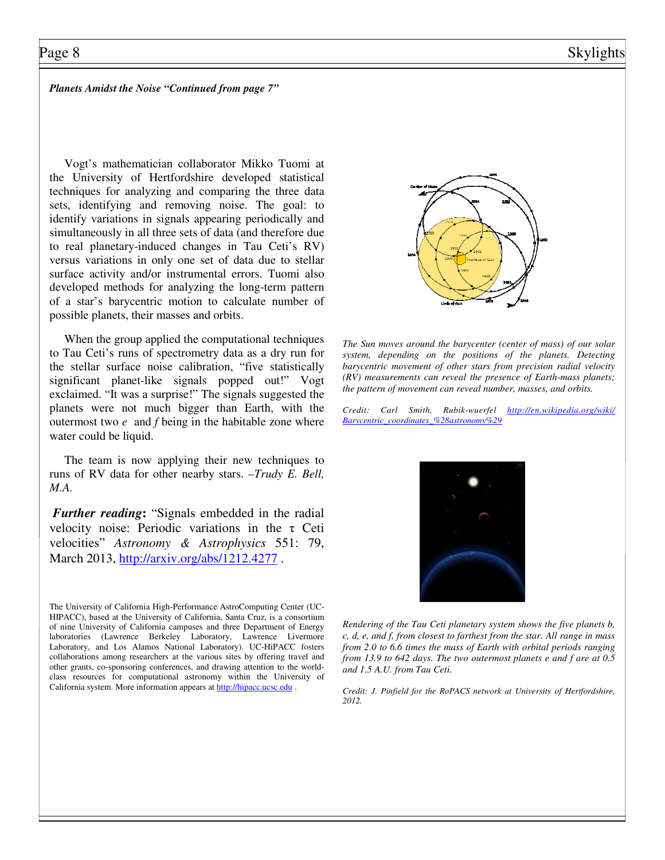## Page 8 Skylights

*Planets Amidst the Noise "Continued from page 7"*

 Vogt's mathematician collaborator Mikko Tuomi at the University of Hertfordshire developed statistical techniques for analyzing and comparing the three data sets, identifying and removing noise. The goal: to identify variations in signals appearing periodically and simultaneously in all three sets of data (and therefore due to real planetary-induced changes in Tau Ceti's RV) versus variations in only one set of data due to stellar surface activity and/or instrumental errors. Tuomi also developed methods for analyzing the long-term pattern of a star's barycentric motion to calculate number of possible planets, their masses and orbits.

 When the group applied the computational techniques to Tau Ceti's runs of spectrometry data as a dry run for the stellar surface noise calibration, "five statistically significant planet-like signals popped out!" Vogt exclaimed. "It was a surprise!" The signals suggested the planets were not much bigger than Earth, with the outermost two *e* and *f* being in the habitable zone where water could be liquid.

 The team is now applying their new techniques to runs of RV data for other nearby stars. *–Trudy E. Bell, M.A.*

*Further reading***:** "Signals embedded in the radial velocity noise: Periodic variations in the τ Ceti velocities" *Astronomy & Astrophysics* 551: 79, March 2013, http://arxiv.org/abs/1212.4277.

The University of California High-Performance AstroComputing Center (UC-HIPACC), based at the University of California, Santa Cruz, is a consortium of nine University of California campuses and three Department of Energy laboratories (Lawrence Berkeley Laboratory, Lawrence Livermore Laboratory, and Los Alamos National Laboratory). UC-HiPACC fosters collaborations among researchers at the various sites by offering travel and other grants, co-sponsoring conferences, and drawing attention to the worldclass resources for computational astronomy within the University of California system. More information appears at http://hipacc.ucsc.edu .



*The Sun moves around the barycenter (center of mass) of our solar system, depending on the positions of the planets. Detecting barycentric movement of other stars from precision radial velocity (RV) measurements can reveal the presence of Earth-mass planets; the pattern of movement can reveal number, masses, and orbits.* 

*Credit: Carl Smith, Rubik-wuerfel http://en.wikipedia.org/wiki/ Barycentric\_coordinates\_%28astronomy%29*



*Rendering of the Tau Ceti planetary system shows the five planets b, c, d, e, and f, from closest to farthest from the star. All range in mass from 2.0 to 6.6 times the mass of Earth with orbital periods ranging from 13.9 to 642 days. The two outermost planets e and f are at 0.5 and 1.5 A.U. from Tau Ceti.* 

*Credit: J. Pinfield for the RoPACS network at University of Hertfordshire, 2012.*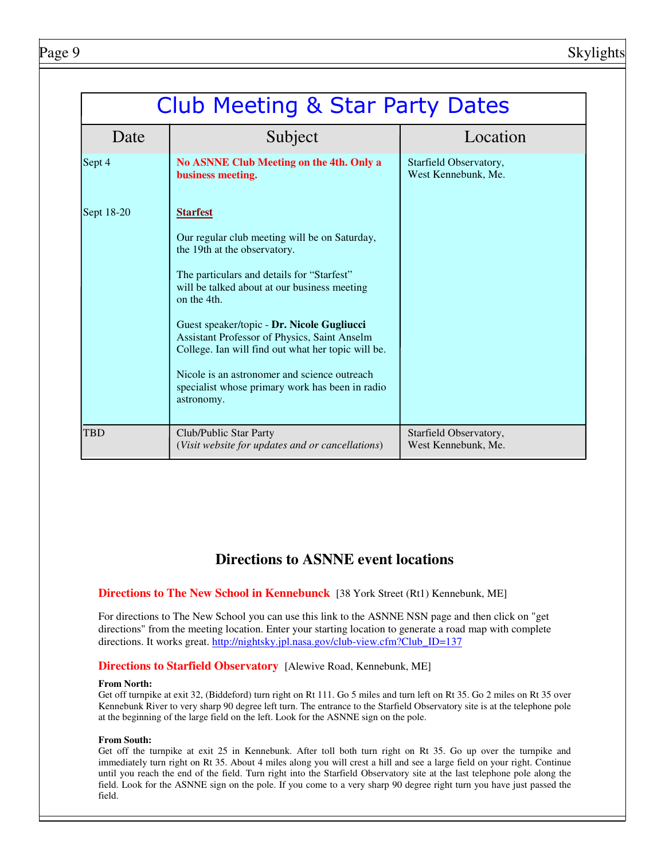|            | <b>Club Meeting &amp; Star Party Dates</b>                                                                                                                                                                                                                                                                                                                                                                                                                                         |                                               |  |
|------------|------------------------------------------------------------------------------------------------------------------------------------------------------------------------------------------------------------------------------------------------------------------------------------------------------------------------------------------------------------------------------------------------------------------------------------------------------------------------------------|-----------------------------------------------|--|
| Date       | Subject                                                                                                                                                                                                                                                                                                                                                                                                                                                                            | Location                                      |  |
| Sept 4     | No ASNNE Club Meeting on the 4th. Only a<br>business meeting.                                                                                                                                                                                                                                                                                                                                                                                                                      | Starfield Observatory,<br>West Kennebunk, Me. |  |
| Sept 18-20 | <b>Starfest</b><br>Our regular club meeting will be on Saturday,<br>the 19th at the observatory.<br>The particulars and details for "Starfest"<br>will be talked about at our business meeting<br>on the 4th.<br>Guest speaker/topic - Dr. Nicole Gugliucci<br>Assistant Professor of Physics, Saint Anselm<br>College. Ian will find out what her topic will be.<br>Nicole is an astronomer and science outreach<br>specialist whose primary work has been in radio<br>astronomy. |                                               |  |
| <b>TBD</b> | Club/Public Star Party<br>(Visit website for updates and or cancellations)                                                                                                                                                                                                                                                                                                                                                                                                         | Starfield Observatory,<br>West Kennebunk, Me. |  |

## **Directions to ASNNE event locations**

## **Directions to The New School in Kennebunck** [38 York Street (Rt1) Kennebunk, ME]

For directions to The New School you can use this link to the ASNNE NSN page and then click on "get directions" from the meeting location. Enter your starting location to generate a road map with complete directions. It works great. http://nightsky.jpl.nasa.gov/club-view.cfm?Club\_ID=137

## **Directions to Starfield Observatory** [Alewive Road, Kennebunk, ME]

### **From North:**

Get off turnpike at exit 32, (Biddeford) turn right on Rt 111. Go 5 miles and turn left on Rt 35. Go 2 miles on Rt 35 over Kennebunk River to very sharp 90 degree left turn. The entrance to the Starfield Observatory site is at the telephone pole at the beginning of the large field on the left. Look for the ASNNE sign on the pole.

### **From South:**

Get off the turnpike at exit 25 in Kennebunk. After toll both turn right on Rt 35. Go up over the turnpike and immediately turn right on Rt 35. About 4 miles along you will crest a hill and see a large field on your right. Continue until you reach the end of the field. Turn right into the Starfield Observatory site at the last telephone pole along the field. Look for the ASNNE sign on the pole. If you come to a very sharp 90 degree right turn you have just passed the field.